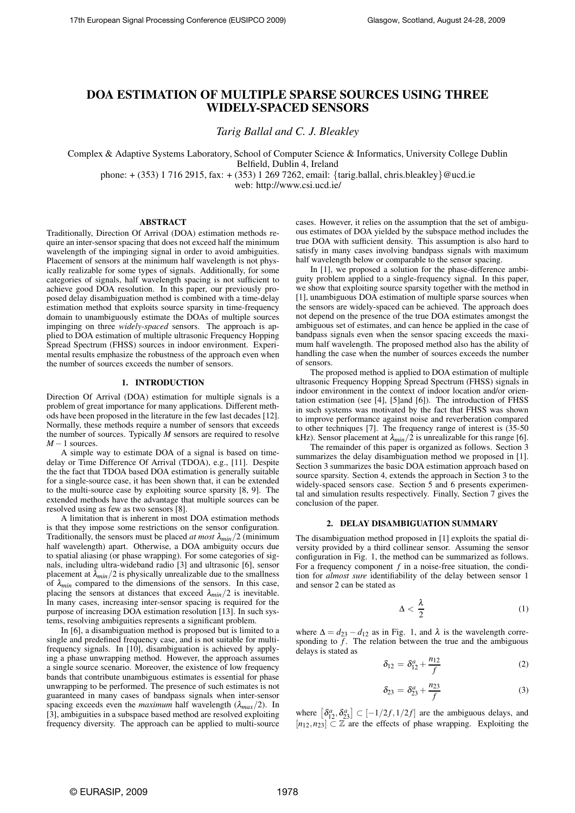# **DOA ESTIMATION OF MULTIPLE SPARSE SOURCES USING THREE WIDELY-SPACED SENSORS**

*Tarig Ballal and C. J. Bleakley*

Complex & Adaptive Systems Laboratory, School of Computer Science & Informatics, University College Dublin

Belfield, Dublin 4, Ireland

phone: + (353) 1 716 2915, fax: + (353) 1 269 7262, email: {tarig.ballal, chris.bleakley}@ucd.ie

web: http://www.csi.ucd.ie/

# **ABSTRACT**

Traditionally, Direction Of Arrival (DOA) estimation methods require an inter-sensor spacing that does not exceed half the minimum wavelength of the impinging signal in order to avoid ambiguities. Placement of sensors at the minimum half wavelength is not physically realizable for some types of signals. Additionally, for some categories of signals, half wavelength spacing is not sufficient to achieve good DOA resolution. In this paper, our previously proposed delay disambiguation method is combined with a time-delay estimation method that exploits source sparsity in time-frequency domain to unambiguously estimate the DOAs of multiple sources impinging on three *widely-spaced* sensors. The approach is applied to DOA estimation of multiple ultrasonic Frequency Hopping Spread Spectrum (FHSS) sources in indoor environment. Experimental results emphasize the robustness of the approach even when the number of sources exceeds the number of sensors.

# **1. INTRODUCTION**

Direction Of Arrival (DOA) estimation for multiple signals is a problem of great importance for many applications. Different methods have been proposed in the literature in the few last decades [12]. Normally, these methods require a number of sensors that exceeds the number of sources. Typically *M* sensors are required to resolve  $M-1$  sources.

A simple way to estimate DOA of a signal is based on timedelay or Time Difference Of Arrival (TDOA), e.g., [11]. Despite the the fact that TDOA based DOA estimation is generally suitable for a single-source case, it has been shown that, it can be extended to the multi-source case by exploiting source sparsity [8, 9]. The extended methods have the advantage that multiple sources can be resolved using as few as two sensors [8].

A limitation that is inherent in most DOA estimation methods is that they impose some restrictions on the sensor configuration. Traditionally, the sensors must be placed *at most* <sup>λ</sup>*min*/2 (minimum half wavelength) apart. Otherwise, a DOA ambiguity occurs due to spatial aliasing (or phase wrapping). For some categories of signals, including ultra-wideband radio [3] and ultrasonic [6], sensor placement at  $\lambda_{min}/2$  is physically unrealizable due to the smallness of  $\lambda_{min}$  compared to the dimensions of the sensors. In this case, placing the sensors at distances that exceed  $\lambda_{min}/2$  is inevitable. In many cases, increasing inter-sensor spacing is required for the purpose of increasing DOA estimation resolution [13]. In such systems, resolving ambiguities represents a significant problem.

In [6], a disambiguation method is proposed but is limited to a single and predefined frequency case, and is not suitable for multifrequency signals. In [10], disambiguation is achieved by applying a phase unwrapping method. However, the approach assumes a single source scenario. Moreover, the existence of low frequency bands that contribute unambiguous estimates is essential for phase unwrapping to be performed. The presence of such estimates is not guaranteed in many cases of bandpass signals when inter-sensor spacing exceeds even the *maximum* half wavelength  $(\lambda_{max}/2)$ . In [3], ambiguities in a subspace based method are resolved exploiting frequency diversity. The approach can be applied to multi-source cases. However, it relies on the assumption that the set of ambiguous estimates of DOA yielded by the subspace method includes the true DOA with sufficient density. This assumption is also hard to satisfy in many cases involving bandpass signals with maximum half wavelength below or comparable to the sensor spacing.

In [1], we proposed a solution for the phase-difference ambiguity problem applied to a single-frequency signal. In this paper, we show that exploiting source sparsity together with the method in [1], unambiguous DOA estimation of multiple sparse sources when the sensors are widely-spaced can be achieved. The approach does not depend on the presence of the true DOA estimates amongst the ambiguous set of estimates, and can hence be applied in the case of bandpass signals even when the sensor spacing exceeds the maximum half wavelength. The proposed method also has the ability of handling the case when the number of sources exceeds the number of sensors.

The proposed method is applied to DOA estimation of multiple ultrasonic Frequency Hopping Spread Spectrum (FHSS) signals in indoor environment in the context of indoor location and/or orientation estimation (see [4], [5]and [6]). The introduction of FHSS in such systems was motivated by the fact that FHSS was shown to improve performance against noise and reverberation compared to other techniques [7]. The frequency range of interest is (35-50 kHz). Sensor placement at  $\lambda_{min}/2$  is unrealizable for this range [6].

The remainder of this paper is organized as follows. Section 3 summarizes the delay disambiguation method we proposed in [1]. Section 3 summarizes the basic DOA estimation approach based on source sparsity. Section 4, extends the approach in Section 3 to the widely-spaced sensors case. Section 5 and 6 presents experimental and simulation results respectively. Finally, Section 7 gives the conclusion of the paper.

# **2. DELAY DISAMBIGUATION SUMMARY**

The disambiguation method proposed in [1] exploits the spatial diversity provided by a third collinear sensor. Assuming the sensor configuration in Fig. 1, the method can be summarized as follows. For a frequency component *f* in a noise-free situation, the condition for *almost sure* identifiability of the delay between sensor 1 and sensor 2 can be stated as

$$
\Delta < \frac{\lambda}{2} \tag{1}
$$

where  $\Delta = d_{23} - d_{12}$  as in Fig. 1, and  $\lambda$  is the wavelength corresponding to  $\tilde{f}$ . The relation between the true and the ambiguous delays is stated as

$$
\delta_{12} = \delta_{12}^a + \frac{n_{12}}{f}
$$
 (2)

$$
\delta_{23} = \delta_{23}^a + \frac{n_{23}}{f}
$$
 (3)

where  $\left[\delta_{12}^a, \delta_{23}^a\right] \subset \left[-\frac{1}{2f}, \frac{1}{2f}\right]$  are the ambiguous delays, and  $[n_{12}, n_{23}] \subset \mathbb{Z}$  are the effects of phase wrapping. Exploiting the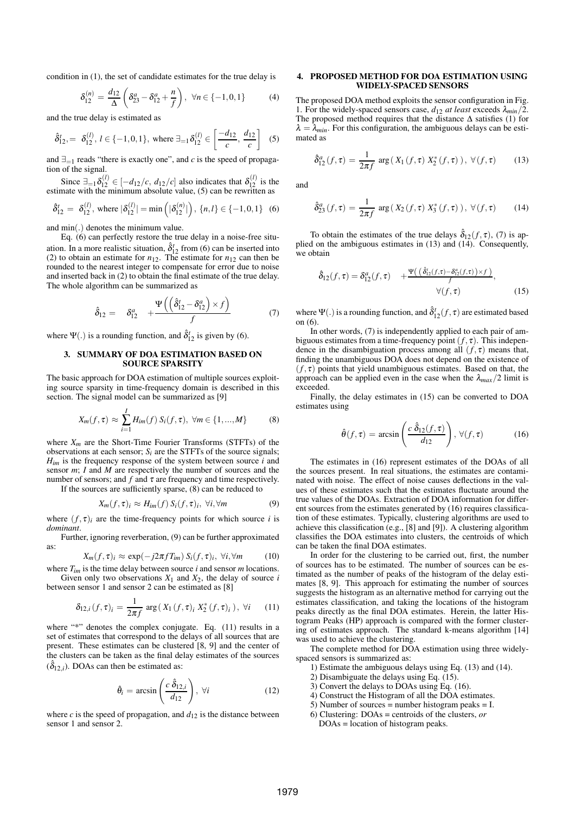condition in (1), the set of candidate estimates for the true delay is

$$
\delta_{12}^{(n)} = \frac{d_{12}}{\Delta} \left( \delta_{23}^a - \delta_{12}^a + \frac{n}{f} \right), \ \forall n \in \{-1, 0, 1\} \tag{4}
$$

and the true delay is estimated as

$$
\hat{\delta}_{12}^t, = \delta_{12}^{(l)}, \ l \in \{-1, 0, 1\}, \text{ where } \exists_{=1} \delta_{12}^{(l)} \in \left[\frac{-d_{12}}{c}, \frac{d_{12}}{c}\right] \tag{5}
$$

and  $\exists_{=1}$  reads "there is exactly one", and *c* is the speed of propagation of the signal.

Since  $\exists_{=1} \delta_{12}^{(l)} \in [-d_{12}/c, d_{12}/c]$  also indicates that  $\delta_{12}^{(l)}$  is the estimate with the minimum absolute value, (5) can be rewritten as

$$
\hat{\delta}_{12}^t = \delta_{12}^{(l)}, \text{ where } |\delta_{12}^{(l)}| = \min\left(|\delta_{12}^{(n)}|\right), \{n, l\} \in \{-1, 0, 1\} \quad (6)
$$

and min(.) denotes the minimum value.

Eq. (6) can perfectly restore the true delay in a noise-free situation. In a more realistic situation,  $\hat{\delta}^t_{12}$  from (6) can be inserted into (2) to obtain an estimate for  $n_{12}$ . The estimate for  $n_{12}$  can then be rounded to the nearest integer to compensate for error due to noise and inserted back in (2) to obtain the final estimate of the true delay. The whole algorithm can be summarized as

$$
\hat{\delta}_{12} = \delta_{12}^a + \frac{\Psi((\hat{\delta}_{12}^t - \delta_{12}^a) \times f)}{f}
$$
 (7)

where  $\Psi(.)$  is a rounding function, and  $\hat{\delta}_{12}^{t}$  is given by (6).

# **3. SUMMARY OF DOA ESTIMATION BASED ON SOURCE SPARSITY**

The basic approach for DOA estimation of multiple sources exploiting source sparsity in time-frequency domain is described in this section. The signal model can be summarized as [9]

$$
X_m(f,\tau) \approx \sum_{i=1}^I H_{im}(f) S_i(f,\tau), \ \forall m \in \{1,...,M\}
$$
 (8)

where *Xm* are the Short-Time Fourier Transforms (STFTs) of the observations at each sensor;  $S_i$  are the STFTs of the source signals;  $H_{im}$  is the frequency response of the system between source  $i$  and sensor *m*; *I* and *M* are respectively the number of sources and the number of sensors; and  $f$  and  $\tau$  are frequency and time respectively.

If the sources are sufficiently sparse, (8) can be reduced to

$$
X_m(f, \tau)_i \approx H_{im}(f) \, S_i(f, \tau)_i, \, \forall i, \forall m \tag{9}
$$

where  $(f, \tau)_i$  are the time-frequency points for which source *i* is *dominant*.

Further, ignoring reverberation, (9) can be further approximated as:

$$
X_m(f,\tau)_i \approx \exp(-j2\pi f T_{im}) S_i(f,\tau)_i, \ \forall i, \forall m \tag{10}
$$

where *Tim* is the time delay between source *i* and sensor *m* locations. Given only two observations  $X_1$  and  $X_2$ , the delay of source *i* between sensor 1 and sensor 2 can be estimated as [8]

$$
\delta_{12,i}(f,\tau)_i = \frac{1}{2\pi f} \arg(X_1(f,\tau)_i X_2^*(f,\tau)_i), \ \forall i \qquad (11)
$$

where "\*" denotes the complex conjugate. Eq. (11) results in a set of estimates that correspond to the delays of all sources that are present. These estimates can be clustered [8, 9] and the center of the clusters can be taken as the final delay estimates of the sources  $(\hat{\delta}_{12,i})$ . DOAs can then be estimated as:

$$
\hat{\theta}_i = \arcsin\left(\frac{c \,\hat{\delta}_{12,i}}{d_{12}}\right), \,\forall i \tag{12}
$$

where  $c$  is the speed of propagation, and  $d_{12}$  is the distance between sensor 1 and sensor 2.

# **4. PROPOSED METHOD FOR DOA ESTIMATION USING WIDELY-SPACED SENSORS**

The proposed DOA method exploits the sensor configuration in Fig. 1. For the widely-spaced sensors case,  $d_{12}$  *at least* exceeds  $\lambda_{min}/2$ . The proposed method requires that the distance  $\Delta$  satisfies (1) for  $\lambda = \lambda_{min}$ . For this configuration, the ambiguous delays can be estimated as

$$
\hat{\delta}_{12}^a(f,\tau) = \frac{1}{2\pi f} \arg\left(X_1(f,\tau) \; X_2^*(f,\tau)\right), \; \forall (f,\tau) \qquad (13)
$$

and

$$
\hat{\delta}_{23}^a(f,\tau) = \frac{1}{2\pi f} \arg(X_2(f,\tau) X_3^*(f,\tau)), \forall (f,\tau) \quad (14)
$$

To obtain the estimates of the true delays  $\hat{\delta}_{12}(f, \tau)$ , (7) is applied on the ambiguous estimates in (13) and (14). Consequently, we obtain

$$
\hat{\delta}_{12}(f,\tau) = \delta_{12}^a(f,\tau) + \frac{\Psi((\delta_{12}^c(f,\tau) - \delta_{12}^a(f,\tau)) \times f)}{f},
$$
  
 
$$
\forall (f,\tau) \tag{15}
$$

where  $\Psi(.)$  is a rounding function, and  $\hat{\delta}^t_{12}(f,\tau)$  are estimated based on (6).

In other words, (7) is independently applied to each pair of ambiguous estimates from a time-frequency point  $(f, \tau)$ . This independence in the disambiguation process among all  $(f, \tau)$  means that, finding the unambiguous DOA does not depend on the existence of  $(f, \tau)$  points that yield unambiguous estimates. Based on that, the approach can be applied even in the case when the  $\lambda_{max}/2$  limit is exceeded.

Finally, the delay estimates in (15) can be converted to DOA estimates using

$$
\hat{\theta}(f,\tau) = \arcsin\left(\frac{c \,\hat{\delta}_{12}(f,\tau)}{d_{12}}\right), \,\forall (f,\tau) \tag{16}
$$

The estimates in (16) represent estimates of the DOAs of all the sources present. In real situations, the estimates are contaminated with noise. The effect of noise causes deflections in the values of these estimates such that the estimates fluctuate around the true values of the DOAs. Extraction of DOA information for different sources from the estimates generated by (16) requires classification of these estimates. Typically, clustering algorithms are used to achieve this classification (e.g., [8] and [9]). A clustering algorithm classifies the DOA estimates into clusters, the centroids of which can be taken the final DOA estimates.

In order for the clustering to be carried out, first, the number of sources has to be estimated. The number of sources can be estimated as the number of peaks of the histogram of the delay estimates [8, 9]. This approach for estimating the number of sources suggests the histogram as an alternative method for carrying out the estimates classification, and taking the locations of the histogram peaks directly as the final DOA estimates. Herein, the latter Histogram Peaks (HP) approach is compared with the former clustering of estimates approach. The standard k-means algorithm [14] was used to achieve the clustering.

The complete method for DOA estimation using three widelyspaced sensors is summarized as:

- 1) Estimate the ambiguous delays using Eq. (13) and (14).
- 2) Disambiguate the delays using Eq. (15).
- 3) Convert the delays to DOAs using Eq. (16).
- 4) Construct the Histogram of all the DOA estimates.
- 5) Number of sources = number histogram peaks =  $I$ .
- 6) Clustering: DOAs = centroids of the clusters, *or* DOAs = location of histogram peaks.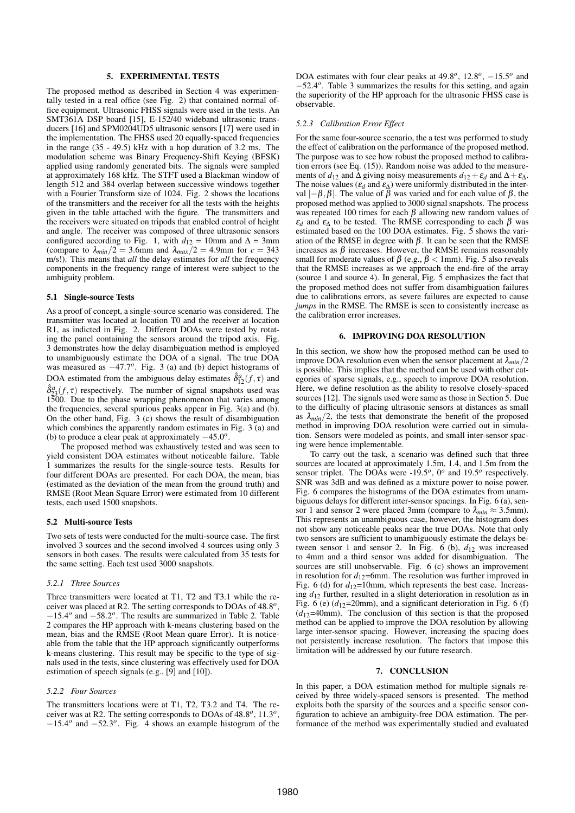# **5. EXPERIMENTAL TESTS**

The proposed method as described in Section 4 was experimentally tested in a real office (see Fig. 2) that contained normal office equipment. Ultrasonic FHSS signals were used in the tests. An SMT361A DSP board [15], E-152/40 wideband ultrasonic transducers [16] and SPM0204UD5 ultrasonic sensors [17] were used in the implementation. The FHSS used 20 equally-spaced frequencies in the range (35 - 49.5) kHz with a hop duration of 3.2 ms. The modulation scheme was Binary Frequency-Shift Keying (BFSK) applied using randomly generated bits. The signals were sampled at approximately 168 kHz. The STFT used a Blackman window of length 512 and 384 overlap between successive windows together with a Fourier Transform size of 1024. Fig. 2 shows the locations of the transmitters and the receiver for all the tests with the heights given in the table attached with the figure. The transmitters and the receivers were situated on tripods that enabled control of height and angle. The receiver was composed of three ultrasonic sensors configured according to Fig. 1, with  $d_{12} = 10$ mm and  $\Delta = 3$ mm (compare to  $\lambda_{min}/2 = 3.6$ mm and  $\lambda_{max}/2 = 4.9$ mm for  $c = 343$ m/s!). This means that *all* the delay estimates for *all* the frequency components in the frequency range of interest were subject to the ambiguity problem.

# **5.1 Single-source Tests**

As a proof of concept, a single-source scenario was considered. The transmitter was located at location T0 and the receiver at location R1, as indicted in Fig. 2. Different DOAs were tested by rotating the panel containing the sensors around the tripod axis. Fig. 3 demonstrates how the delay disambiguation method is employed to unambiguously estimate the DOA of a signal. The true DOA was measured as  $-47.7$ <sup>o</sup>. Fig. 3 (a) and (b) depict histograms of DOA estimated from the ambiguous delay estimates  $\hat{\delta}_{12}^a(f,\tau)$  and  $\hat{\delta}_{23}^{a}(f, \tau)$  respectively. The number of signal snapshots used was 1500. Due to the phase wrapping phenomenon that varies among the frequencies, several spurious peaks appear in Fig. 3(a) and (b). On the other hand, Fig. 3 (c) shows the result of disambiguation which combines the apparently random estimates in Fig. 3 (a) and (b) to produce a clear peak at approximately −45.0 *o* .

The proposed method was exhaustively tested and was seen to yield consistent DOA estimates without noticeable failure. Table summarizes the results for the single-source tests. Results for four different DOAs are presented. For each DOA, the mean, bias (estimated as the deviation of the mean from the ground truth) and RMSE (Root Mean Square Error) were estimated from 10 different tests, each used 1500 snapshots.

#### **5.2 Multi-source Tests**

Two sets of tests were conducted for the multi-source case. The first involved 3 sources and the second involved 4 sources using only 3 sensors in both cases. The results were calculated from 35 tests for the same setting. Each test used 3000 snapshots.

#### *5.2.1 Three Sources*

Three transmitters were located at T1, T2 and T3.1 while the receiver was placed at R2. The setting corresponds to DOAs of 48.8 *o* , −15.4 *o* and −58.2 *o* . The results are summarized in Table 2. Table 2 compares the HP approach with k-means clustering based on the mean, bias and the RMSE (Root Mean quare Error). It is noticeable from the table that the HP approach significantly outperforms k-means clustering. This result may be specific to the type of signals used in the tests, since clustering was effectively used for DOA estimation of speech signals (e.g., [9] and [10]).

# *5.2.2 Four Sources*

The transmitters locations were at T1, T2, T3.2 and T4. The receiver was at R2. The setting corresponds to DOAs of 48.8 *o* , 11.3 *o* , −15.4 *o* and −52.3 *o* . Fig. 4 shows an example histogram of the

DOA estimates with four clear peaks at 49.8<sup>o</sup>, 12.8<sup>o</sup>, −15.5<sup>o</sup> and −52.4 *o* . Table 3 summarizes the results for this setting, and again the superiority of the HP approach for the ultrasonic FHSS case is observable.

### *5.2.3 Calibration Error Effect*

For the same four-source scenario, the a test was performed to study the effect of calibration on the performance of the proposed method. The purpose was to see how robust the proposed method to calibration errors (see Eq. (15)). Random noise was added to the measurements of  $d_{12}$  and  $\Delta$  giving noisy measurements  $d_{12} + \varepsilon_d$  and  $\Delta + \varepsilon_{\Delta}$ . The noise values ( $\varepsilon_d$  and  $\varepsilon_\Delta$ ) were uniformly distributed in the interval  $[-β, β]$ . The value of β was varied and for each value of β, the proposed method was applied to 3000 signal snapshots. The process was repeated 100 times for each  $\beta$  allowing new random values of  $\varepsilon_d$  and  $\varepsilon_A$  to be tested. The RMSE corresponding to each  $\beta$  was estimated based on the 100 DOA estimates. Fig. 5 shows the variation of the RMSE in degree with β. It can be seen that the RMSE increases as β increases. However, the RMSE remains reasonably small for moderate values of  $\beta$  (e.g.,  $\beta$  < 1mm). Fig. 5 also reveals that the RMSE increases as we approach the end-fire of the array (source 1 and source 4). In general, Fig. 5 emphasizes the fact that the proposed method does not suffer from disambiguation failures due to calibrations errors, as severe failures are expected to cause *jumps* in the RMSE. The RMSE is seen to consistently increase as the calibration error increases.

# **6. IMPROVING DOA RESOLUTION**

In this section, we show how the proposed method can be used to improve DOA resolution even when the sensor placement at  $\lambda_{min}/2$ is possible. This implies that the method can be used with other categories of sparse signals, e.g., speech to improve DOA resolution. Here, we define resolution as the ability to resolve closely-spaced sources [12]. The signals used were same as those in Section 5. Due to the difficulty of placing ultrasonic sensors at distances as small as  $\lambda_{min}/2$ , the tests that demonstrate the benefit of the proposed method in improving DOA resolution were carried out in simulation. Sensors were modeled as points, and small inter-sensor spacing were hence implementable.

To carry out the task, a scenario was defined such that three sources are located at approximately 1.5m, 1.4, and 1.5m from the sensor triplet. The DOAs were -19.5*<sup>o</sup>* , 0*<sup>o</sup>* and 19.5*<sup>o</sup>* respectively. SNR was 3dB and was defined as a mixture power to noise power. Fig. 6 compares the histograms of the DOA estimates from unambiguous delays for different inter-sensor spacings. In Fig. 6 (a), sensor 1 and sensor 2 were placed 3mm (compare to  $\lambda_{min} \approx 3.5$ mm). This represents an unambiguous case, however, the histogram does not show any noticeable peaks near the true DOAs. Note that only two sensors are sufficient to unambiguously estimate the delays between sensor 1 and sensor 2. In Fig.  $6$  (b),  $d_{12}$  was increased to 4mm and a third sensor was added for disambiguation. The sources are still unobservable. Fig. 6 (c) shows an improvement in resolution for  $d_{12}$ =6mm. The resolution was further improved in Fig. 6 (d) for  $d_{12}=10$ mm, which represents the best case. Increasing *d*<sup>12</sup> further, resulted in a slight deterioration in resolution as in Fig. 6 (e)  $(d_{12}=20$ mm), and a significant deterioration in Fig. 6 (f)  $(d_{12}=40$ mm). The conclusion of this section is that the proposed method can be applied to improve the DOA resolution by allowing large inter-sensor spacing. However, increasing the spacing does not persistently increase resolution. The factors that impose this limitation will be addressed by our future research.

### **7. CONCLUSION**

In this paper, a DOA estimation method for multiple signals received by three widely-spaced sensors is presented. The method exploits both the sparsity of the sources and a specific sensor configuration to achieve an ambiguity-free DOA estimation. The performance of the method was experimentally studied and evaluated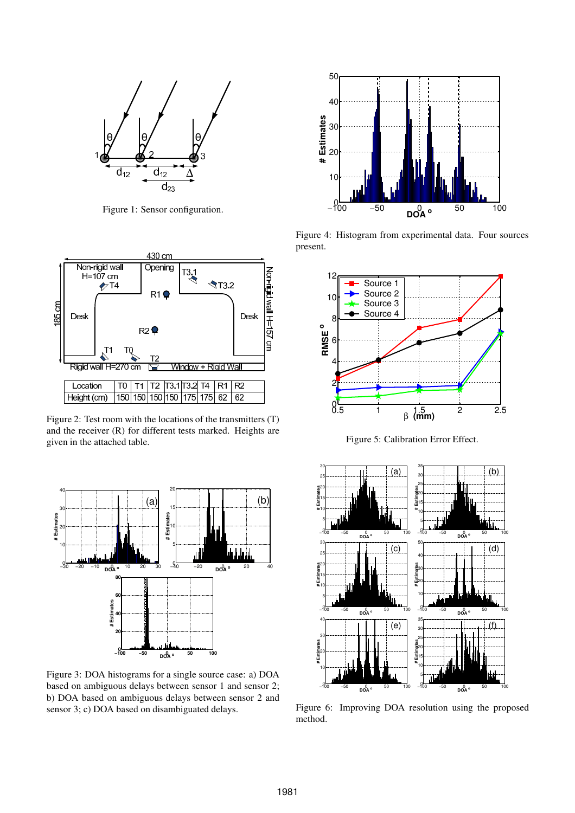

Figure 1: Sensor configuration.



Figure 2: Test room with the locations of the transmitters (T) and the receiver (R) for different tests marked. Heights are given in the attached table.



Figure 3: DOA histograms for a single source case: a) DOA based on ambiguous delays between sensor 1 and sensor 2; b) DOA based on ambiguous delays between sensor 2 and sensor 3; c) DOA based on disambiguated delays.



Figure 4: Histogram from experimental data. Four sources present.



Figure 5: Calibration Error Effect.



Figure 6: Improving DOA resolution using the proposed method.